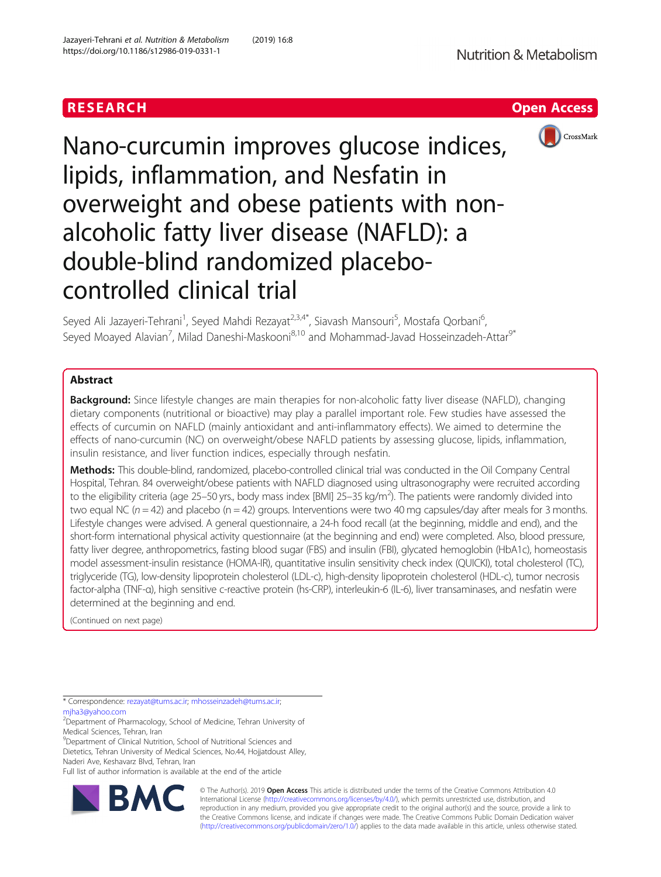# RESEARCH **RESEARCH CHOOSE INTERNATIONAL CONTRACT CONTRACT OF ACCESS**



Nano-curcumin improves glucose indices, lipids, inflammation, and Nesfatin in overweight and obese patients with nonalcoholic fatty liver disease (NAFLD): a double-blind randomized placebocontrolled clinical trial

Seyed Ali Jazayeri-Tehrani<sup>1</sup>, Seyed Mahdi Rezayat<sup>2,3,4\*</sup>, Siavash Mansouri<sup>5</sup>, Mostafa Qorbani<sup>6</sup> , Seyed Moayed Alavian<sup>7</sup>, Milad Daneshi-Maskooni<sup>8,10</sup> and Mohammad-Javad Hosseinzadeh-Attar<sup>9\*</sup>

## **Abstract**

**Background:** Since lifestyle changes are main therapies for non-alcoholic fatty liver disease (NAFLD), changing dietary components (nutritional or bioactive) may play a parallel important role. Few studies have assessed the effects of curcumin on NAFLD (mainly antioxidant and anti-inflammatory effects). We aimed to determine the effects of nano-curcumin (NC) on overweight/obese NAFLD patients by assessing glucose, lipids, inflammation, insulin resistance, and liver function indices, especially through nesfatin.

Methods: This double-blind, randomized, placebo-controlled clinical trial was conducted in the Oil Company Central Hospital, Tehran. 84 overweight/obese patients with NAFLD diagnosed using ultrasonography were recruited according to the eligibility criteria (age 25–50 yrs., body mass index [BMI] 25–35 kg/m<sup>2</sup>). The patients were randomly divided into two equal NC ( $n = 42$ ) and placebo ( $n = 42$ ) groups. Interventions were two 40 mg capsules/day after meals for 3 months. Lifestyle changes were advised. A general questionnaire, a 24-h food recall (at the beginning, middle and end), and the short-form international physical activity questionnaire (at the beginning and end) were completed. Also, blood pressure, fatty liver degree, anthropometrics, fasting blood sugar (FBS) and insulin (FBI), glycated hemoglobin (HbA1c), homeostasis model assessment-insulin resistance (HOMA-IR), quantitative insulin sensitivity check index (QUICKI), total cholesterol (TC), triglyceride (TG), low-density lipoprotein cholesterol (LDL-c), high-density lipoprotein cholesterol (HDL-c), tumor necrosis factor-alpha (TNF-α), high sensitive c-reactive protein (hs-CRP), interleukin-6 (IL-6), liver transaminases, and nesfatin were determined at the beginning and end.

(Continued on next page)

\* Correspondence: [rezayat@tums.ac.ir;](mailto:rezayat@tums.ac.ir) [mhosseinzadeh@tums.ac.ir](mailto:mhosseinzadeh@tums.ac.ir); [mjha3@yahoo.com](mailto:mjha3@yahoo.com)

<sup>2</sup> Department of Pharmacology, School of Medicine, Tehran University of Medical Sciences, Tehran, Iran

<sup>9</sup>Department of Clinical Nutrition, School of Nutritional Sciences and Dietetics, Tehran University of Medical Sciences, No.44, Hojjatdoust Alley, Naderi Ave, Keshavarz Blvd, Tehran, Iran

Full list of author information is available at the end of the article



© The Author(s). 2019 **Open Access** This article is distributed under the terms of the Creative Commons Attribution 4.0 International License [\(http://creativecommons.org/licenses/by/4.0/](http://creativecommons.org/licenses/by/4.0/)), which permits unrestricted use, distribution, and reproduction in any medium, provided you give appropriate credit to the original author(s) and the source, provide a link to the Creative Commons license, and indicate if changes were made. The Creative Commons Public Domain Dedication waiver [\(http://creativecommons.org/publicdomain/zero/1.0/](http://creativecommons.org/publicdomain/zero/1.0/)) applies to the data made available in this article, unless otherwise stated.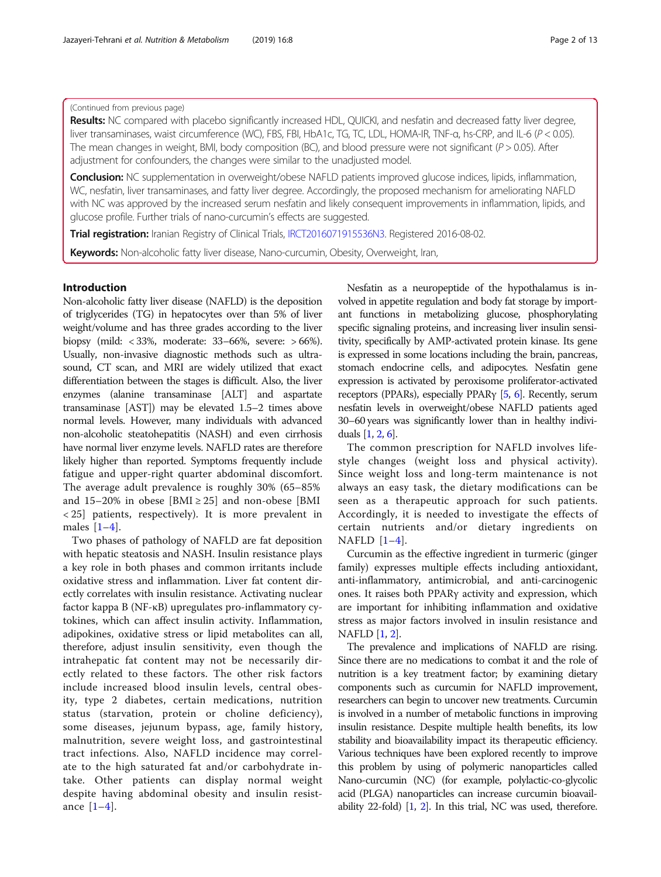## (Continued from previous page)

Results: NC compared with placebo significantly increased HDL, QUICKI, and nesfatin and decreased fatty liver degree, liver transaminases, waist circumference (WC), FBS, FBI, HbA1c, TG, TC, LDL, HOMA-IR, TNF-α, hs-CRP, and IL-6 (P < 0.05). The mean changes in weight, BMI, body composition (BC), and blood pressure were not significant ( $P > 0.05$ ). After adjustment for confounders, the changes were similar to the unadjusted model.

Conclusion: NC supplementation in overweight/obese NAFLD patients improved glucose indices, lipids, inflammation, WC, nesfatin, liver transaminases, and fatty liver degree. Accordingly, the proposed mechanism for ameliorating NAFLD with NC was approved by the increased serum nesfatin and likely consequent improvements in inflammation, lipids, and glucose profile. Further trials of nano-curcumin's effects are suggested.

Trial registration: Iranian Registry of Clinical Trials, [IRCT2016071915536N3.](https://en.irct.ir/trial/14784) Registered 2016-08-02.

Keywords: Non-alcoholic fatty liver disease, Nano-curcumin, Obesity, Overweight, Iran,

## Introduction

Non-alcoholic fatty liver disease (NAFLD) is the deposition of triglycerides (TG) in hepatocytes over than 5% of liver weight/volume and has three grades according to the liver biopsy (mild: < 33%, moderate: 33–66%, severe: > 66%). Usually, non-invasive diagnostic methods such as ultrasound, CT scan, and MRI are widely utilized that exact differentiation between the stages is difficult. Also, the liver enzymes (alanine transaminase [ALT] and aspartate transaminase [AST]) may be elevated 1.5–2 times above normal levels. However, many individuals with advanced non-alcoholic steatohepatitis (NASH) and even cirrhosis have normal liver enzyme levels. NAFLD rates are therefore likely higher than reported. Symptoms frequently include fatigue and upper-right quarter abdominal discomfort. The average adult prevalence is roughly 30% (65–85% and  $15-20\%$  in obese [BMI  $\geq 25$ ] and non-obese [BMI < 25] patients, respectively). It is more prevalent in males  $[1-4]$  $[1-4]$  $[1-4]$  $[1-4]$ .

Two phases of pathology of NAFLD are fat deposition with hepatic steatosis and NASH. Insulin resistance plays a key role in both phases and common irritants include oxidative stress and inflammation. Liver fat content directly correlates with insulin resistance. Activating nuclear factor kappa B (NF-κB) upregulates pro-inflammatory cytokines, which can affect insulin activity. Inflammation, adipokines, oxidative stress or lipid metabolites can all, therefore, adjust insulin sensitivity, even though the intrahepatic fat content may not be necessarily directly related to these factors. The other risk factors include increased blood insulin levels, central obesity, type 2 diabetes, certain medications, nutrition status (starvation, protein or choline deficiency), some diseases, jejunum bypass, age, family history, malnutrition, severe weight loss, and gastrointestinal tract infections. Also, NAFLD incidence may correlate to the high saturated fat and/or carbohydrate intake. Other patients can display normal weight despite having abdominal obesity and insulin resistance  $[1-4]$  $[1-4]$  $[1-4]$ .

Nesfatin as a neuropeptide of the hypothalamus is involved in appetite regulation and body fat storage by important functions in metabolizing glucose, phosphorylating specific signaling proteins, and increasing liver insulin sensitivity, specifically by AMP-activated protein kinase. Its gene is expressed in some locations including the brain, pancreas, stomach endocrine cells, and adipocytes. Nesfatin gene expression is activated by peroxisome proliferator-activated receptors (PPARs), especially PPARγ [[5](#page-11-0), [6](#page-11-0)]. Recently, serum nesfatin levels in overweight/obese NAFLD patients aged 30–60 years was significantly lower than in healthy individuals [\[1,](#page-11-0) [2](#page-11-0), [6](#page-11-0)].

The common prescription for NAFLD involves lifestyle changes (weight loss and physical activity). Since weight loss and long-term maintenance is not always an easy task, the dietary modifications can be seen as a therapeutic approach for such patients. Accordingly, it is needed to investigate the effects of certain nutrients and/or dietary ingredients on NAFLD [[1](#page-11-0)–[4](#page-11-0)].

Curcumin as the effective ingredient in turmeric (ginger family) expresses multiple effects including antioxidant, anti-inflammatory, antimicrobial, and anti-carcinogenic ones. It raises both PPARγ activity and expression, which are important for inhibiting inflammation and oxidative stress as major factors involved in insulin resistance and NAFLD [\[1](#page-11-0), [2\]](#page-11-0).

The prevalence and implications of NAFLD are rising. Since there are no medications to combat it and the role of nutrition is a key treatment factor; by examining dietary components such as curcumin for NAFLD improvement, researchers can begin to uncover new treatments. Curcumin is involved in a number of metabolic functions in improving insulin resistance. Despite multiple health benefits, its low stability and bioavailability impact its therapeutic efficiency. Various techniques have been explored recently to improve this problem by using of polymeric nanoparticles called Nano-curcumin (NC) (for example, polylactic-co-glycolic acid (PLGA) nanoparticles can increase curcumin bioavailability 22-fold) [[1](#page-11-0), [2\]](#page-11-0). In this trial, NC was used, therefore.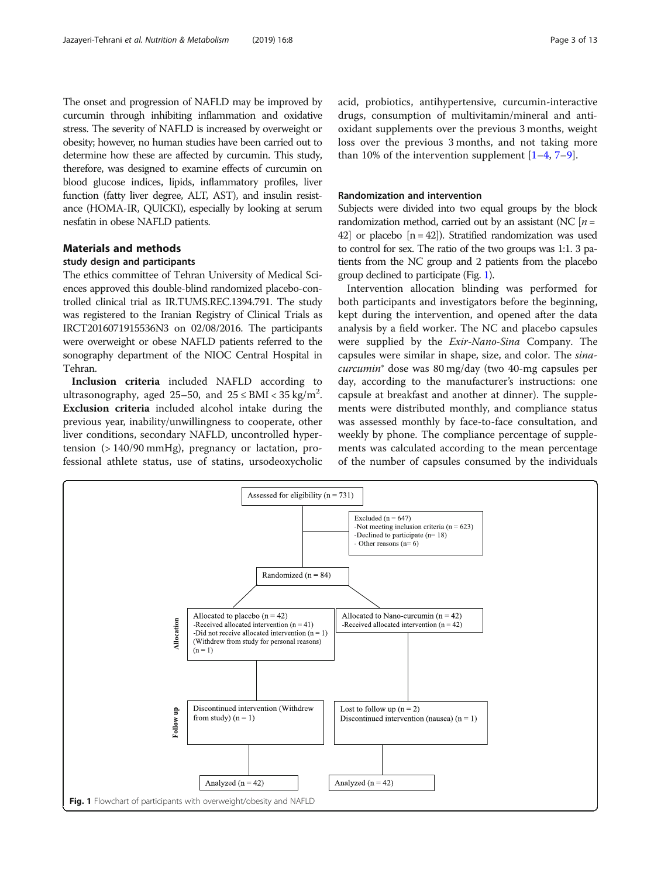<span id="page-2-0"></span>The onset and progression of NAFLD may be improved by curcumin through inhibiting inflammation and oxidative stress. The severity of NAFLD is increased by overweight or obesity; however, no human studies have been carried out to determine how these are affected by curcumin. This study, therefore, was designed to examine effects of curcumin on blood glucose indices, lipids, inflammatory profiles, liver function (fatty liver degree, ALT, AST), and insulin resistance (HOMA-IR, QUICKI), especially by looking at serum nesfatin in obese NAFLD patients.

## Materials and methods

## study design and participants

The ethics committee of Tehran University of Medical Sciences approved this double-blind randomized placebo-controlled clinical trial as IR.TUMS.REC.1394.791. The study was registered to the Iranian Registry of Clinical Trials as IRCT2016071915536N3 on 02/08/2016. The participants were overweight or obese NAFLD patients referred to the sonography department of the NIOC Central Hospital in Tehran.

Inclusion criteria included NAFLD according to ultrasonography, aged 25–50, and  $25 \leq \mathrm{BMI} < 35 \mathrm{kg/m^2}$ . Exclusion criteria included alcohol intake during the previous year, inability/unwillingness to cooperate, other liver conditions, secondary NAFLD, uncontrolled hypertension (> 140/90 mmHg), pregnancy or lactation, professional athlete status, use of statins, ursodeoxycholic acid, probiotics, antihypertensive, curcumin-interactive drugs, consumption of multivitamin/mineral and antioxidant supplements over the previous 3 months, weight loss over the previous 3 months, and not taking more than 10% of the intervention supplement  $[1-4, 7-9]$  $[1-4, 7-9]$  $[1-4, 7-9]$  $[1-4, 7-9]$  $[1-4, 7-9]$  $[1-4, 7-9]$  $[1-4, 7-9]$ .

## Randomization and intervention

Subjects were divided into two equal groups by the block randomization method, carried out by an assistant (NC  $[n=$ 42] or placebo  $[n = 42]$ ). Stratified randomization was used to control for sex. The ratio of the two groups was 1:1. 3 patients from the NC group and 2 patients from the placebo group declined to participate (Fig. 1).

Intervention allocation blinding was performed for both participants and investigators before the beginning, kept during the intervention, and opened after the data analysis by a field worker. The NC and placebo capsules were supplied by the Exir-Nano-Sina Company. The capsules were similar in shape, size, and color. The sinacurcumin® dose was 80 mg/day (two 40-mg capsules per day, according to the manufacturer's instructions: one capsule at breakfast and another at dinner). The supplements were distributed monthly, and compliance status was assessed monthly by face-to-face consultation, and weekly by phone. The compliance percentage of supplements was calculated according to the mean percentage of the number of capsules consumed by the individuals

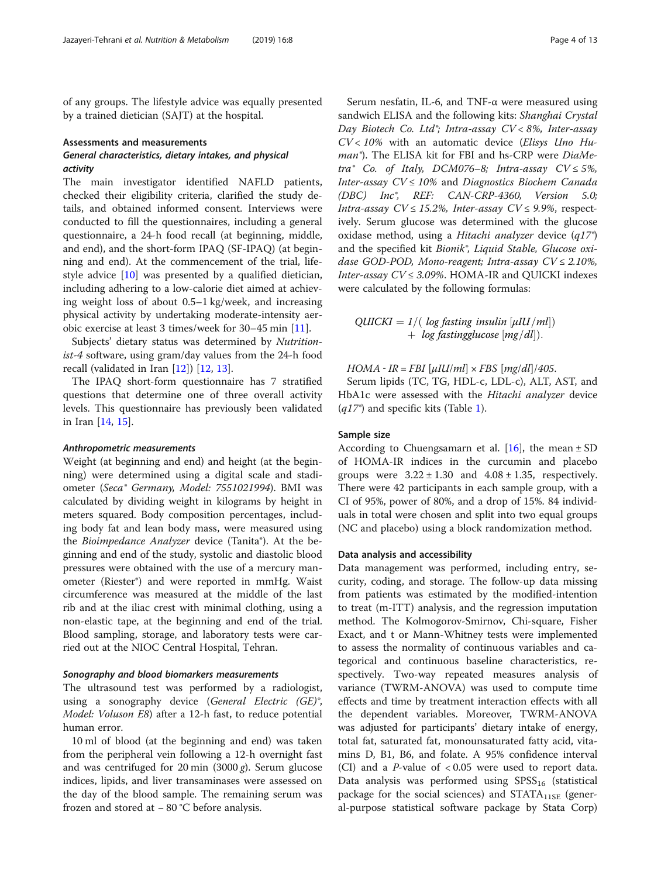of any groups. The lifestyle advice was equally presented by a trained dietician (SAJT) at the hospital.

#### Assessments and measurements

## General characteristics, dietary intakes, and physical activity

The main investigator identified NAFLD patients, checked their eligibility criteria, clarified the study details, and obtained informed consent. Interviews were conducted to fill the questionnaires, including a general questionnaire, a 24-h food recall (at beginning, middle, and end), and the short-form IPAQ (SF-IPAQ) (at beginning and end). At the commencement of the trial, lifestyle advice [[10\]](#page-11-0) was presented by a qualified dietician, including adhering to a low-calorie diet aimed at achieving weight loss of about 0.5–1 kg/week, and increasing physical activity by undertaking moderate-intensity aerobic exercise at least 3 times/week for 30–45 min [\[11](#page-11-0)].

Subjects' dietary status was determined by Nutritionist-4 software, using gram/day values from the 24-h food recall (validated in Iran [\[12\]](#page-11-0)) [\[12](#page-11-0), [13](#page-11-0)].

The IPAQ short-form questionnaire has 7 stratified questions that determine one of three overall activity levels. This questionnaire has previously been validated in Iran [\[14](#page-11-0), [15](#page-11-0)].

#### Anthropometric measurements

Weight (at beginning and end) and height (at the beginning) were determined using a digital scale and stadiometer (Seca® Germany, Model: 7551021994). BMI was calculated by dividing weight in kilograms by height in meters squared. Body composition percentages, including body fat and lean body mass, were measured using the Bioimpedance Analyzer device (Tanita®). At the beginning and end of the study, systolic and diastolic blood pressures were obtained with the use of a mercury manometer (Riester®) and were reported in mmHg. Waist circumference was measured at the middle of the last rib and at the iliac crest with minimal clothing, using a non-elastic tape, at the beginning and end of the trial. Blood sampling, storage, and laboratory tests were carried out at the NIOC Central Hospital, Tehran.

#### Sonography and blood biomarkers measurements

The ultrasound test was performed by a radiologist, using a sonography device (General Electric (GE)<sup>®</sup>, Model: Voluson E8) after a 12-h fast, to reduce potential human error.

10 ml of blood (at the beginning and end) was taken from the peripheral vein following a 12-h overnight fast and was centrifuged for 20 min  $(3000 g)$ . Serum glucose indices, lipids, and liver transaminases were assessed on the day of the blood sample. The remaining serum was frozen and stored at − 80 °C before analysis.

Serum nesfatin, IL-6, and TNF-α were measured using sandwich ELISA and the following kits: Shanghai Crystal Day Biotech Co. Ltd<sup>®</sup>; Intra-assay CV < 8%, Inter-assay  $CV < 10\%$  with an automatic device (*Elisys Uno Hu*man®). The ELISA kit for FBI and hs-CRP were DiaMetra® Co. of Italy, DCM076-8; Intra-assay  $CV \leq 5\%$ , Inter-assay  $CV \leq 10\%$  and Diagnostics Biochem Canada (DBC) Inc®, REF: CAN-CRP-4360, Version 5.0; Intra-assay  $CV \leq 15.2\%$ , Inter-assay  $CV \leq 9.9\%$ , respectively. Serum glucose was determined with the glucose oxidase method, using a Hitachi analyzer device  $(q17^{\circ})$ and the specified kit Bionik®, Liquid Stable, Glucose oxidase GOD-POD, Mono-reagent; Intra-assay  $CV \le 2.10\%$ , Inter-assay  $CV \leq 3.09\%$ . HOMA-IR and QUICKI indexes were calculated by the following formulas:

 $QUICKI = 1/(log fasting insulin [µIU/ml])$  $+$  log fastingglucose  $[mg/dl])$ .

 $HOMA - IR = FBI$  [ $\mu IU/ml \times FBS$  [ $mg/dl$ ]/405.

Serum lipids (TC, TG, HDL-c, LDL-c), ALT, AST, and HbA1c were assessed with the Hitachi analyzer device  $(q17^{\circ})$  $(q17^{\circ})$  $(q17^{\circ})$  and specific kits (Table 1).

## Sample size

According to Chuengsamarn et al.  $[16]$  $[16]$ , the mean  $\pm$  SD of HOMA-IR indices in the curcumin and placebo groups were  $3.22 \pm 1.30$  and  $4.08 \pm 1.35$ , respectively. There were 42 participants in each sample group, with a CI of 95%, power of 80%, and a drop of 15%. 84 individuals in total were chosen and split into two equal groups (NC and placebo) using a block randomization method.

## Data analysis and accessibility

Data management was performed, including entry, security, coding, and storage. The follow-up data missing from patients was estimated by the modified-intention to treat (m-ITT) analysis, and the regression imputation method. The Kolmogorov-Smirnov, Chi-square, Fisher Exact, and t or Mann-Whitney tests were implemented to assess the normality of continuous variables and categorical and continuous baseline characteristics, respectively. Two-way repeated measures analysis of variance (TWRM-ANOVA) was used to compute time effects and time by treatment interaction effects with all the dependent variables. Moreover, TWRM-ANOVA was adjusted for participants' dietary intake of energy, total fat, saturated fat, monounsaturated fatty acid, vitamins D, B1, B6, and folate. A 95% confidence interval (CI) and a *P*-value of  $< 0.05$  were used to report data. Data analysis was performed using  $SPSS_{16}$  (statistical package for the social sciences) and  $STATA<sub>11SE</sub>$  (general-purpose statistical software package by Stata Corp)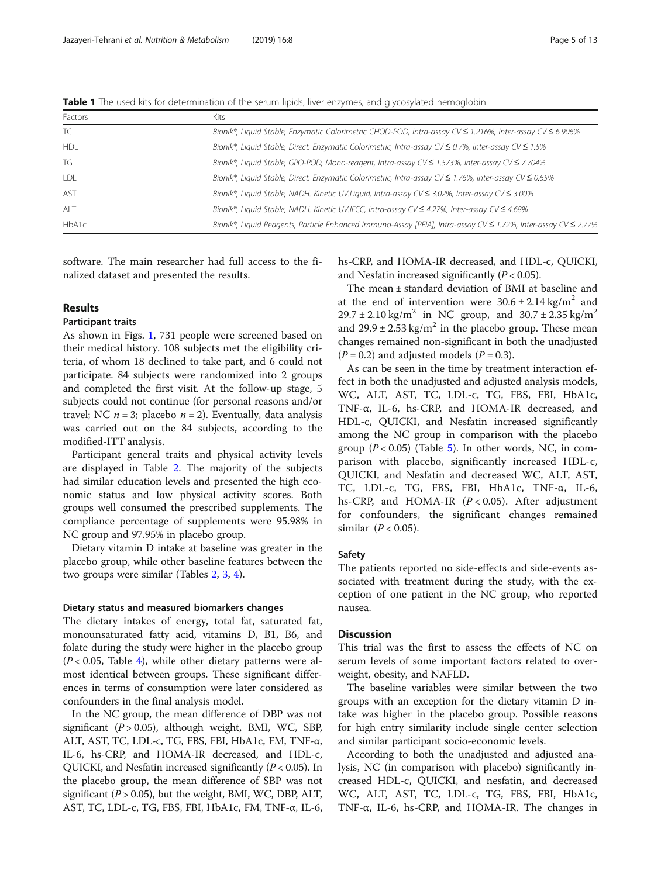<span id="page-4-0"></span>Table 1 The used kits for determination of the serum lipids, liver enzymes, and glycosylated hemoglobin

| Factors    | Kits                                                                                                             |
|------------|------------------------------------------------------------------------------------------------------------------|
| TC         | Bionik®, Liquid Stable, Enzymatic Colorimetric CHOD-POD, Intra-assay CV ≤ 1.216%, Inter-assay CV ≤ 6.906%        |
| <b>HDL</b> | Bionik®, Liquid Stable, Direct. Enzymatic Colorimetric, Intra-assay CV $\leq$ 0.7%, Inter-assay CV $\leq$ 1.5%   |
| TG         | Bionik®, Liquid Stable, GPO-POD, Mono-reagent, Intra-assay CV ≤ 1.573%, Inter-assay CV ≤ 7.704%                  |
| LDL        | Bionik®, Liquid Stable, Direct. Enzymatic Colorimetric, Intra-assay CV $\leq$ 1.76%, Inter-assay CV $\leq$ 0.65% |
| AST        | Bionik®, Liquid Stable, NADH. Kinetic UV.Liquid, Intra-assay CV $\leq$ 3.02%, Inter-assay CV $\leq$ 3.00%        |
| ALT        | Bionik®, Liquid Stable, NADH. Kinetic UV.IFCC, Intra-assay CV $\leq$ 4.27%, Inter-assay CV $\leq$ 4.68%          |
| HbA1c      | Bionik®, Liquid Reagents, Particle Enhanced Immuno-Assay [PEIA], Intra-assay CV ≤ 1.72%, Inter-assay CV ≤ 2.77%  |

software. The main researcher had full access to the finalized dataset and presented the results.

## Results

## Participant traits

As shown in Figs. [1](#page-2-0), 731 people were screened based on their medical history. 108 subjects met the eligibility criteria, of whom 18 declined to take part, and 6 could not participate. 84 subjects were randomized into 2 groups and completed the first visit. At the follow-up stage, 5 subjects could not continue (for personal reasons and/or travel; NC  $n = 3$ ; placebo  $n = 2$ ). Eventually, data analysis was carried out on the 84 subjects, according to the modified-ITT analysis.

Participant general traits and physical activity levels are displayed in Table [2.](#page-5-0) The majority of the subjects had similar education levels and presented the high economic status and low physical activity scores. Both groups well consumed the prescribed supplements. The compliance percentage of supplements were 95.98% in NC group and 97.95% in placebo group.

Dietary vitamin D intake at baseline was greater in the placebo group, while other baseline features between the two groups were similar (Tables [2](#page-5-0), [3](#page-6-0), [4](#page-7-0)).

## Dietary status and measured biomarkers changes

The dietary intakes of energy, total fat, saturated fat, monounsaturated fatty acid, vitamins D, B1, B6, and folate during the study were higher in the placebo group  $(P < 0.05$ , Table [4\)](#page-7-0), while other dietary patterns were almost identical between groups. These significant differences in terms of consumption were later considered as confounders in the final analysis model.

In the NC group, the mean difference of DBP was not significant  $(P > 0.05)$ , although weight, BMI, WC, SBP, ALT, AST, TC, LDL-c, TG, FBS, FBI, HbA1c, FM, TNF-α, IL-6, hs-CRP, and HOMA-IR decreased, and HDL-c, QUICKI, and Nesfatin increased significantly  $(P < 0.05)$ . In the placebo group, the mean difference of SBP was not significant ( $P > 0.05$ ), but the weight, BMI, WC, DBP, ALT, AST, TC, LDL-c, TG, FBS, FBI, HbA1c, FM, TNF-α, IL-6, hs-CRP, and HOMA-IR decreased, and HDL-c, QUICKI, and Nesfatin increased significantly  $(P < 0.05)$ .

The mean ± standard deviation of BMI at baseline and at the end of intervention were  $30.6 \pm 2.14 \text{ kg/m}^2$  and  $29.7 \pm 2.10 \text{ kg/m}^2$  in NC group, and  $30.7 \pm 2.35 \text{ kg/m}^2$ and  $29.9 \pm 2.53 \text{ kg/m}^2$  in the placebo group. These mean changes remained non-significant in both the unadjusted  $(P = 0.2)$  and adjusted models  $(P = 0.3)$ .

As can be seen in the time by treatment interaction effect in both the unadjusted and adjusted analysis models, WC, ALT, AST, TC, LDL-c, TG, FBS, FBI, HbA1c, TNF-α, IL-6, hs-CRP, and HOMA-IR decreased, and HDL-c, QUICKI, and Nesfatin increased significantly among the NC group in comparison with the placebo group  $(P < 0.05)$  $(P < 0.05)$  $(P < 0.05)$  (Table 5). In other words, NC, in comparison with placebo, significantly increased HDL-c, QUICKI, and Nesfatin and decreased WC, ALT, AST, TC, LDL-c, TG, FBS, FBI, HbA1c, TNF-α, IL-6, hs-CRP, and HOMA-IR  $(P < 0.05)$ . After adjustment for confounders, the significant changes remained similar  $(P < 0.05)$ .

## Safety

The patients reported no side-effects and side-events associated with treatment during the study, with the exception of one patient in the NC group, who reported nausea.

## **Discussion**

This trial was the first to assess the effects of NC on serum levels of some important factors related to overweight, obesity, and NAFLD.

The baseline variables were similar between the two groups with an exception for the dietary vitamin D intake was higher in the placebo group. Possible reasons for high entry similarity include single center selection and similar participant socio-economic levels.

According to both the unadjusted and adjusted analysis, NC (in comparison with placebo) significantly increased HDL-c, QUICKI, and nesfatin, and decreased WC, ALT, AST, TC, LDL-c, TG, FBS, FBI, HbA1c, TNF-α, IL-6, hs-CRP, and HOMA-IR. The changes in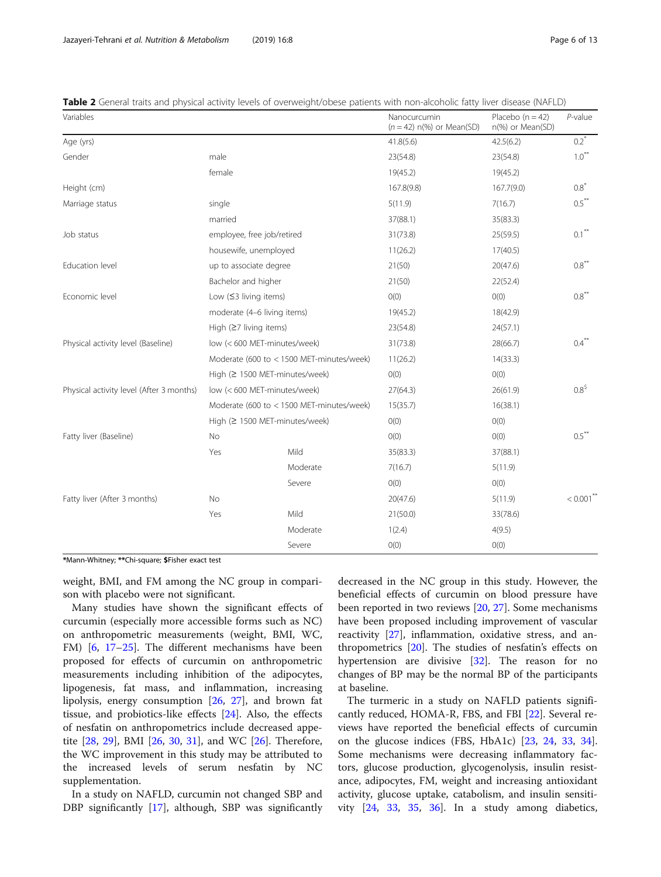| Variables                                |                                  |                                           | Nanocurcumin<br>$(n = 42)$ n(%) or Mean(SD) | Placebo $(n = 42)$<br>n(%) or Mean(SD) | $P$ -value                        |
|------------------------------------------|----------------------------------|-------------------------------------------|---------------------------------------------|----------------------------------------|-----------------------------------|
| Age (yrs)                                |                                  |                                           | 41.8(5.6)                                   | 42.5(6.2)                              | $0.2^*$                           |
| Gender                                   | male                             |                                           | 23(54.8)                                    | 23(54.8)                               | $1.0***$                          |
|                                          | female                           |                                           | 19(45.2)                                    | 19(45.2)                               |                                   |
| Height (cm)                              |                                  |                                           | 167.8(9.8)                                  | 167.7(9.0)                             | $0.8^*$                           |
| Marriage status                          | single                           |                                           | 5(11.9)                                     | 7(16.7)                                | $0.5***$                          |
|                                          | married                          |                                           | 37(88.1)                                    | 35(83.3)                               |                                   |
| Job status                               | employee, free job/retired       |                                           | 31(73.8)                                    | 25(59.5)                               | $0.1$ $\hspace{0.1cm}^{\ast\ast}$ |
|                                          | housewife, unemployed            |                                           | 11(26.2)                                    | 17(40.5)                               |                                   |
| Education level                          | up to associate degree           |                                           | 21(50)                                      | 20(47.6)                               | $0.8***$                          |
|                                          | Bachelor and higher              |                                           | 21(50)                                      | 22(52.4)                               |                                   |
| Economic level                           | Low $(≤3$ living items)          |                                           | O(0)                                        | O(0)                                   | $0.8***$                          |
|                                          | moderate (4-6 living items)      |                                           | 19(45.2)                                    | 18(42.9)                               |                                   |
|                                          | High $(27 \text{ living items})$ |                                           | 23(54.8)                                    | 24(57.1)                               |                                   |
| Physical activity level (Baseline)       |                                  | low (< 600 MET-minutes/week)              | 31(73.8)                                    | 28(66.7)                               | $0.4$ <sup>**</sup>               |
|                                          |                                  | Moderate (600 to < 1500 MET-minutes/week) | 11(26.2)                                    | 14(33.3)                               |                                   |
|                                          |                                  | High (≥ 1500 MET-minutes/week)            | O(0)                                        | O(0)                                   |                                   |
| Physical activity level (After 3 months) |                                  | low (< 600 MET-minutes/week)              | 27(64.3)                                    | 26(61.9)                               | $0.8^{\frac{5}{2}}$               |
|                                          |                                  | Moderate (600 to < 1500 MET-minutes/week) | 15(35.7)                                    | 16(38.1)                               |                                   |
|                                          |                                  | High (≥ 1500 MET-minutes/week)            | O(0)                                        | O(0)                                   |                                   |
| Fatty liver (Baseline)                   | <b>No</b>                        |                                           | O(0)                                        | O(0)                                   | $0.5***$                          |
|                                          | Yes                              | Mild                                      | 35(83.3)                                    | 37(88.1)                               |                                   |
|                                          |                                  | Moderate                                  | 7(16.7)                                     | 5(11.9)                                |                                   |
|                                          |                                  | Severe                                    | O(0)                                        | O(0)                                   |                                   |
| Fatty liver (After 3 months)             | <b>No</b>                        |                                           | 20(47.6)                                    | 5(11.9)                                | $< 0.001$ <sup>**</sup>           |
|                                          | Yes                              | Mild                                      | 21(50.0)                                    | 33(78.6)                               |                                   |
|                                          |                                  | Moderate                                  | 1(2.4)                                      | 4(9.5)                                 |                                   |
|                                          |                                  | Severe                                    | O(0)                                        | O(0)                                   |                                   |

<span id="page-5-0"></span>Table 2 General traits and physical activity levels of overweight/obese patients with non-alcoholic fatty liver disease (NAFLD)

\*Mann-Whitney; \*\*Chi-square; \$Fisher exact test

weight, BMI, and FM among the NC group in comparison with placebo were not significant.

Many studies have shown the significant effects of curcumin (especially more accessible forms such as NC) on anthropometric measurements (weight, BMI, WC, FM) [\[6](#page-11-0), [17](#page-11-0)–[25](#page-11-0)]. The different mechanisms have been proposed for effects of curcumin on anthropometric measurements including inhibition of the adipocytes, lipogenesis, fat mass, and inflammation, increasing lipolysis, energy consumption [[26,](#page-11-0) [27\]](#page-11-0), and brown fat tissue, and probiotics-like effects [[24](#page-11-0)]. Also, the effects of nesfatin on anthropometrics include decreased appetite [[28,](#page-11-0) [29](#page-11-0)], BMI [[26](#page-11-0), [30](#page-11-0), [31\]](#page-11-0), and WC [\[26](#page-11-0)]. Therefore, the WC improvement in this study may be attributed to the increased levels of serum nesfatin by NC supplementation.

In a study on NAFLD, curcumin not changed SBP and DBP significantly [\[17\]](#page-11-0), although, SBP was significantly

decreased in the NC group in this study. However, the beneficial effects of curcumin on blood pressure have been reported in two reviews [[20,](#page-11-0) [27](#page-11-0)]. Some mechanisms have been proposed including improvement of vascular reactivity [\[27](#page-11-0)], inflammation, oxidative stress, and anthropometrics [\[20](#page-11-0)]. The studies of nesfatin's effects on hypertension are divisive [[32\]](#page-11-0). The reason for no changes of BP may be the normal BP of the participants at baseline.

The turmeric in a study on NAFLD patients significantly reduced, HOMA-R, FBS, and FBI [[22](#page-11-0)]. Several reviews have reported the beneficial effects of curcumin on the glucose indices (FBS, HbA1c) [[23,](#page-11-0) [24,](#page-11-0) [33](#page-11-0), [34](#page-11-0)]. Some mechanisms were decreasing inflammatory factors, glucose production, glycogenolysis, insulin resistance, adipocytes, FM, weight and increasing antioxidant activity, glucose uptake, catabolism, and insulin sensitivity [[24](#page-11-0), [33,](#page-11-0) [35,](#page-11-0) [36\]](#page-12-0). In a study among diabetics,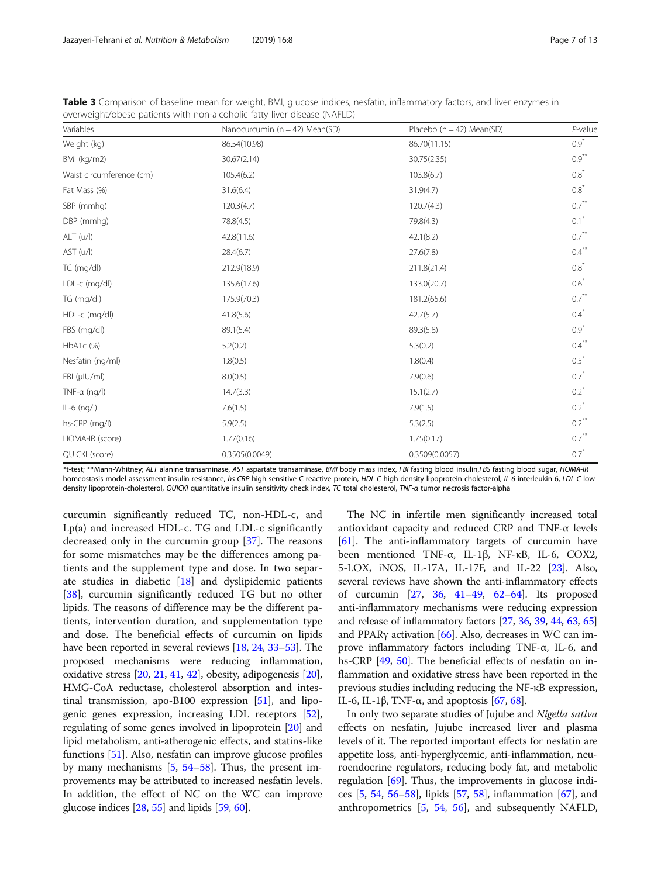| Variables                | Nanocurcumin ( $n = 42$ ) Mean(SD) | Placebo ( $n = 42$ ) Mean(SD) | $P$ -value         |
|--------------------------|------------------------------------|-------------------------------|--------------------|
| Weight (kg)              | 86.54(10.98)                       | 86.70(11.15)                  | $0.9^*$            |
| BMI (kg/m2)              | 30.67(2.14)                        | 30.75(2.35)                   | $0.9***$           |
| Waist circumference (cm) | 105.4(6.2)                         | 103.8(6.7)                    | $0.8^*$            |
| Fat Mass (%)             | 31.6(6.4)                          | 31.9(4.7)                     | $0.8^*$            |
| SBP (mmhg)               | 120.3(4.7)                         | 120.7(4.3)                    | $0.7***$           |
| DBP (mmhg)               | 78.8(4.5)                          | 79.8(4.3)                     | $0.1$ <sup>*</sup> |
| ALT (u/l)                | 42.8(11.6)                         | 42.1(8.2)                     | $0.7***$           |
| AST (u/l)                | 28.4(6.7)                          | 27.6(7.8)                     | $0.4***$           |
| TC (mg/dl)               | 212.9(18.9)                        | 211.8(21.4)                   | $0.8^*$            |
| LDL-c (mg/dl)            | 135.6(17.6)                        | 133.0(20.7)                   | $0.6*$             |
| TG (mg/dl)               | 175.9(70.3)                        | 181.2(65.6)                   | $0.7***$           |
| HDL-c (mg/dl)            | 41.8(5.6)                          | 42.7(5.7)                     | $0.4$ <sup>*</sup> |
| FBS (mg/dl)              | 89.1(5.4)                          | 89.3(5.8)                     | $0.9*$             |
| HbA1c (%)                | 5.2(0.2)                           | 5.3(0.2)                      | $0.4***$           |
| Nesfatin (ng/ml)         | 1.8(0.5)                           | 1.8(0.4)                      | $0.5^*$            |
| FBI (µIU/ml)             | 8.0(0.5)                           | 7.9(0.6)                      | $0.7*$             |
| TNF- $\alpha$ (ng/l)     | 14.7(3.3)                          | 15.1(2.7)                     | $0.2^*$            |
| $IL-6$ (ng/l)            | 7.6(1.5)                           | 7.9(1.5)                      | $0.2^*$            |
| hs-CRP (mg/l)            | 5.9(2.5)                           | 5.3(2.5)                      | $0.2***$           |
| HOMA-IR (score)          | 1.77(0.16)                         | 1.75(0.17)                    | $0.7***$           |
| QUICKI (score)           | 0.3505(0.0049)                     | 0.3509(0.0057)                | $0.7^*$            |

<span id="page-6-0"></span>Table 3 Comparison of baseline mean for weight, BMI, glucose indices, nesfatin, inflammatory factors, and liver enzymes in overweight/obese patients with non-alcoholic fatty liver disease (NAFLD)

\*t-test; \*\*Mann-Whitney; ALT alanine transaminase, AST aspartate transaminase, BMI body mass index, FBI fasting blood insulin,FBS fasting blood sugar, HOMA-IR homeostasis model assessment-insulin resistance, hs-CRP high-sensitive C-reactive protein, HDL-C high density lipoprotein-cholesterol, IL-6 interleukin-6, LDL-C low density lipoprotein-cholesterol, QUICKI quantitative insulin sensitivity check index, TC total cholesterol, TNF-a tumor necrosis factor-alpha

curcumin significantly reduced TC, non-HDL-c, and Lp(a) and increased HDL-c. TG and LDL-c significantly decreased only in the curcumin group [[37\]](#page-12-0). The reasons for some mismatches may be the differences among patients and the supplement type and dose. In two separate studies in diabetic [\[18](#page-11-0)] and dyslipidemic patients [[38\]](#page-12-0), curcumin significantly reduced TG but no other lipids. The reasons of difference may be the different patients, intervention duration, and supplementation type and dose. The beneficial effects of curcumin on lipids have been reported in several reviews [\[18](#page-11-0), [24,](#page-11-0) [33](#page-11-0)–[53\]](#page-12-0). The proposed mechanisms were reducing inflammation, oxidative stress  $[20, 21, 41, 42]$  $[20, 21, 41, 42]$  $[20, 21, 41, 42]$  $[20, 21, 41, 42]$  $[20, 21, 41, 42]$  $[20, 21, 41, 42]$  $[20, 21, 41, 42]$  $[20, 21, 41, 42]$ , obesity, adipogenesis  $[20]$  $[20]$  $[20]$ , HMG-CoA reductase, cholesterol absorption and intestinal transmission, apo-B100 expression [[51](#page-12-0)], and lipogenic genes expression, increasing LDL receptors [[52](#page-12-0)], regulating of some genes involved in lipoprotein [[20](#page-11-0)] and lipid metabolism, anti-atherogenic effects, and statins-like functions [\[51\]](#page-12-0). Also, nesfatin can improve glucose profiles by many mechanisms [\[5](#page-11-0), [54](#page-12-0)–[58\]](#page-12-0). Thus, the present improvements may be attributed to increased nesfatin levels. In addition, the effect of NC on the WC can improve glucose indices  $[28, 55]$  $[28, 55]$  $[28, 55]$  $[28, 55]$  and lipids  $[59, 60]$  $[59, 60]$  $[59, 60]$  $[59, 60]$ .

The NC in infertile men significantly increased total antioxidant capacity and reduced CRP and TNF-α levels [[61](#page-12-0)]. The anti-inflammatory targets of curcumin have been mentioned TNF-α, IL-1β, NF-κB, IL-6, COX2, 5-LOX, iNOS, IL-17A, IL-17F, and IL-22 [\[23\]](#page-11-0). Also, several reviews have shown the anti-inflammatory effects of curcumin [\[27,](#page-11-0) [36,](#page-12-0) [41](#page-12-0)–[49,](#page-12-0) [62](#page-12-0)–[64](#page-12-0)]. Its proposed anti-inflammatory mechanisms were reducing expression and release of inflammatory factors [[27](#page-11-0), [36,](#page-12-0) [39,](#page-12-0) [44](#page-12-0), [63,](#page-12-0) [65](#page-12-0)] and PPARγ activation [\[66](#page-12-0)]. Also, decreases in WC can improve inflammatory factors including TNF-α, IL-6, and hs-CRP [\[49,](#page-12-0) [50](#page-12-0)]. The beneficial effects of nesfatin on inflammation and oxidative stress have been reported in the previous studies including reducing the NF-κB expression, IL-6, IL-1β, TNF-α, and apoptosis [[67](#page-12-0), [68\]](#page-12-0).

In only two separate studies of Jujube and Nigella sativa effects on nesfatin, Jujube increased liver and plasma levels of it. The reported important effects for nesfatin are appetite loss, anti-hyperglycemic, anti-inflammation, neuroendocrine regulators, reducing body fat, and metabolic regulation [\[69\]](#page-12-0). Thus, the improvements in glucose indices  $[5, 54, 56–58]$  $[5, 54, 56–58]$  $[5, 54, 56–58]$  $[5, 54, 56–58]$  $[5, 54, 56–58]$  $[5, 54, 56–58]$  $[5, 54, 56–58]$  $[5, 54, 56–58]$ , lipids  $[57, 58]$  $[57, 58]$  $[57, 58]$  $[57, 58]$ , inflammation  $[67]$  $[67]$ , and anthropometrics [\[5](#page-11-0), [54,](#page-12-0) [56\]](#page-12-0), and subsequently NAFLD,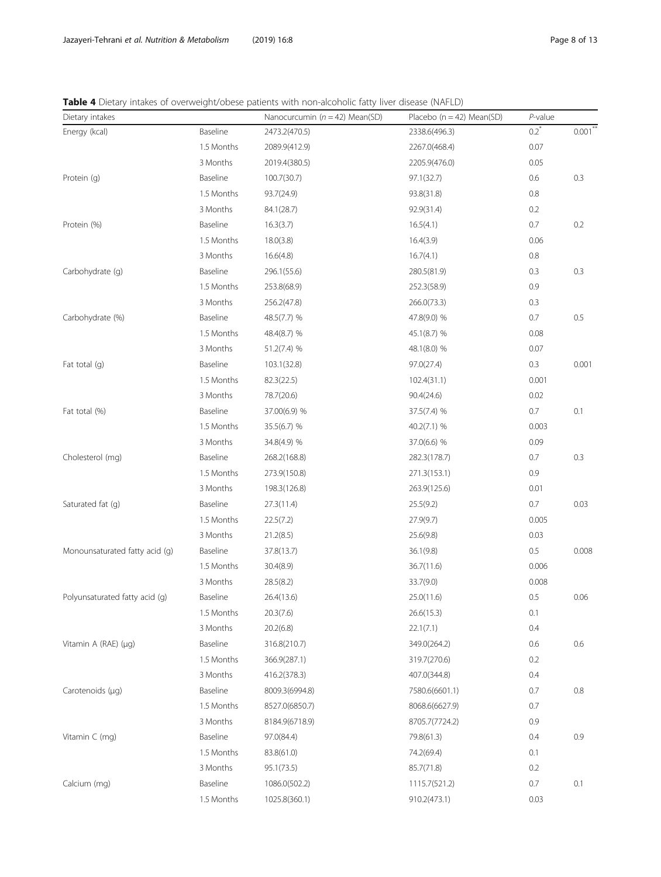<span id="page-7-0"></span>Jazayeri-Tehrani et al. Nutrition & Metabolism (2019) 16:8 extendio to the state of the Page 8 of 13

Table 4 Dietary intakes of overweight/obese patients with non-alcoholic fatty liver disease (NAFLD)

| Dietary intakes                |            | Nanocurcumin ( $n = 42$ ) Mean(SD) | Placebo ( $n = 42$ ) Mean(SD) | $P$ -value |            |
|--------------------------------|------------|------------------------------------|-------------------------------|------------|------------|
| Energy (kcal)                  | Baseline   | 2473.2(470.5)                      | 2338.6(496.3)                 | $0.2^*$    | $0.001***$ |
|                                | 1.5 Months | 2089.9(412.9)                      | 2267.0(468.4)                 | 0.07       |            |
|                                | 3 Months   | 2019.4(380.5)                      | 2205.9(476.0)                 | 0.05       |            |
| Protein (g)                    | Baseline   | 100.7(30.7)                        | 97.1(32.7)                    | 0.6        | 0.3        |
|                                | 1.5 Months | 93.7(24.9)                         | 93.8(31.8)                    | $0.8\,$    |            |
|                                | 3 Months   | 84.1(28.7)                         | 92.9(31.4)                    | 0.2        |            |
| Protein (%)                    | Baseline   | 16.3(3.7)                          | 16.5(4.1)                     | 0.7        | 0.2        |
|                                | 1.5 Months | 18.0(3.8)                          | 16.4(3.9)                     | 0.06       |            |
|                                | 3 Months   | 16.6(4.8)                          | 16.7(4.1)                     | $0.8\,$    |            |
| Carbohydrate (g)               | Baseline   | 296.1(55.6)                        | 280.5(81.9)                   | 0.3        | 0.3        |
|                                | 1.5 Months | 253.8(68.9)                        | 252.3(58.9)                   | 0.9        |            |
|                                | 3 Months   | 256.2(47.8)                        | 266.0(73.3)                   | 0.3        |            |
| Carbohydrate (%)               | Baseline   | 48.5(7.7) %                        | 47.8(9.0) %                   | 0.7        | 0.5        |
|                                | 1.5 Months | 48.4(8.7) %                        | 45.1(8.7) %                   | 0.08       |            |
|                                | 3 Months   | 51.2(7.4) %                        | 48.1(8.0) %                   | 0.07       |            |
| Fat total (g)                  | Baseline   | 103.1(32.8)                        | 97.0(27.4)                    | 0.3        | 0.001      |
|                                | 1.5 Months | 82.3(22.5)                         | 102.4(31.1)                   | 0.001      |            |
|                                | 3 Months   | 78.7(20.6)                         | 90.4(24.6)                    | 0.02       |            |
| Fat total (%)                  | Baseline   | 37.00(6.9) %                       | 37.5(7.4) %                   | 0.7        | 0.1        |
|                                | 1.5 Months | 35.5(6.7) %                        | 40.2(7.1) %                   | 0.003      |            |
|                                | 3 Months   | 34.8(4.9) %                        | 37.0(6.6) %                   | 0.09       |            |
| Cholesterol (mg)               | Baseline   | 268.2(168.8)                       | 282.3(178.7)                  | 0.7        | 0.3        |
|                                | 1.5 Months | 273.9(150.8)                       | 271.3(153.1)                  | 0.9        |            |
|                                | 3 Months   | 198.3(126.8)                       | 263.9(125.6)                  | 0.01       |            |
| Saturated fat (g)              | Baseline   | 27.3(11.4)                         | 25.5(9.2)                     | 0.7        | 0.03       |
|                                | 1.5 Months | 22.5(7.2)                          | 27.9(9.7)                     | 0.005      |            |
|                                | 3 Months   | 21.2(8.5)                          | 25.6(9.8)                     | 0.03       |            |
| Monounsaturated fatty acid (g) | Baseline   | 37.8(13.7)                         | 36.1(9.8)                     | 0.5        | 0.008      |
|                                | 1.5 Months | 30.4(8.9)                          | 36.7(11.6)                    | 0.006      |            |
|                                | 3 Months   | 28.5(8.2)                          | 33.7(9.0)                     | 0.008      |            |
| Polyunsaturated fatty acid (q) | Baseline   | 26.4(13.6)                         | 25.0(11.6)                    | 0.5        | 0.06       |
|                                | 1.5 Months | 20.3(7.6)                          | 26.6(15.3)                    | 0.1        |            |
|                                | 3 Months   | 20.2(6.8)                          | 22.1(7.1)                     | 0.4        |            |
| Vitamin A (RAE) $(\mu q)$      | Baseline   | 316.8(210.7)                       | 349.0(264.2)                  | 0.6        | 0.6        |
|                                | 1.5 Months | 366.9(287.1)                       | 319.7(270.6)                  | 0.2        |            |
|                                | 3 Months   | 416.2(378.3)                       | 407.0(344.8)                  | 0.4        |            |
| Carotenoids (µq)               | Baseline   | 8009.3(6994.8)                     | 7580.6(6601.1)                | 0.7        | 0.8        |
|                                | 1.5 Months | 8527.0(6850.7)                     | 8068.6(6627.9)                | 0.7        |            |
|                                | 3 Months   | 8184.9(6718.9)                     | 8705.7(7724.2)                | 0.9        |            |
| Vitamin C (mg)                 | Baseline   | 97.0(84.4)                         | 79.8(61.3)                    | 0.4        | 0.9        |
|                                | 1.5 Months | 83.8(61.0)                         | 74.2(69.4)                    | 0.1        |            |
|                                | 3 Months   | 95.1(73.5)                         | 85.7(71.8)                    | 0.2        |            |
| Calcium (mg)                   | Baseline   | 1086.0(502.2)                      | 1115.7(521.2)                 | 0.7        | 0.1        |
|                                | 1.5 Months | 1025.8(360.1)                      | 910.2(473.1)                  | 0.03       |            |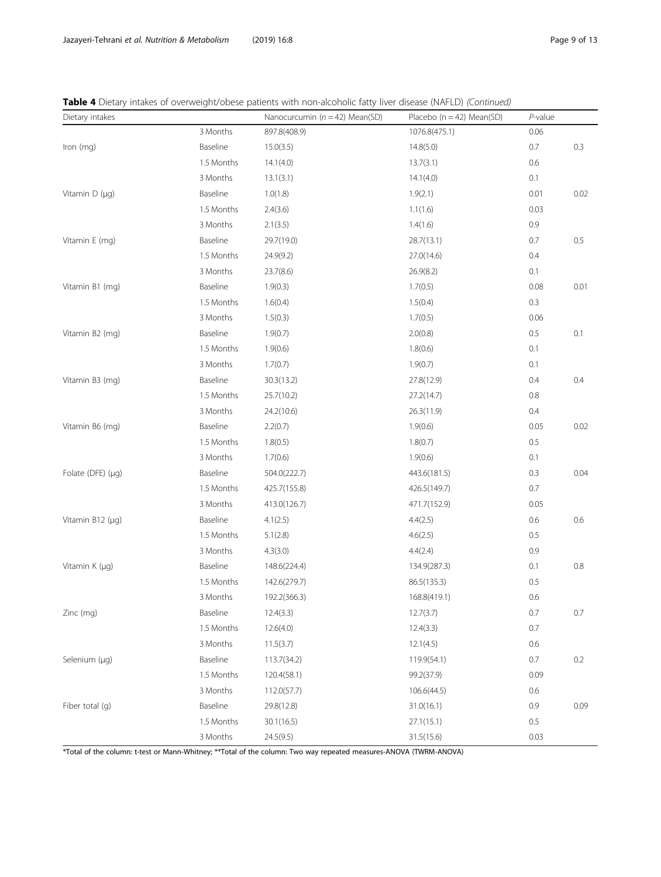|  |  |  | Table 4 Dietary intakes of overweight/obese patients with non-alcoholic fatty liver disease (NAFLD) (Continued) |
|--|--|--|-----------------------------------------------------------------------------------------------------------------|
|--|--|--|-----------------------------------------------------------------------------------------------------------------|

| Dietary intakes        |            | Nanocurcumin ( $n = 42$ ) Mean(SD) | Placebo ( $n = 42$ ) Mean(SD) | $P$ -value |         |
|------------------------|------------|------------------------------------|-------------------------------|------------|---------|
|                        | 3 Months   | 897.8(408.9)                       | 1076.8(475.1)                 | 0.06       |         |
| Iron (mg)              | Baseline   | 15.0(3.5)                          | 14.8(5.0)                     | 0.7        | 0.3     |
|                        | 1.5 Months | 14.1(4.0)                          | 13.7(3.1)                     | 0.6        |         |
|                        | 3 Months   | 13.1(3.1)                          | 14.1(4.0)                     | 0.1        |         |
| Vitamin $D(\mu q)$     | Baseline   | 1.0(1.8)                           | 1.9(2.1)                      | 0.01       | 0.02    |
|                        | 1.5 Months | 2.4(3.6)                           | 1.1(1.6)                      | 0.03       |         |
|                        | 3 Months   | 2.1(3.5)                           | 1.4(1.6)                      | 0.9        |         |
| Vitamin E (mg)         | Baseline   | 29.7(19.0)                         | 28.7(13.1)                    | 0.7        | 0.5     |
|                        | 1.5 Months | 24.9(9.2)                          | 27.0(14.6)                    | 0.4        |         |
|                        | 3 Months   | 23.7(8.6)                          | 26.9(8.2)                     | 0.1        |         |
| Vitamin B1 (mg)        | Baseline   | 1.9(0.3)                           | 1.7(0.5)                      | 0.08       | 0.01    |
|                        | 1.5 Months | 1.6(0.4)                           | 1.5(0.4)                      | 0.3        |         |
|                        | 3 Months   | 1.5(0.3)                           | 1.7(0.5)                      | 0.06       |         |
| Vitamin B2 (mg)        | Baseline   | 1.9(0.7)                           | 2.0(0.8)                      | 0.5        | 0.1     |
|                        | 1.5 Months | 1.9(0.6)                           | 1.8(0.6)                      | 0.1        |         |
|                        | 3 Months   | 1.7(0.7)                           | 1.9(0.7)                      | 0.1        |         |
| Vitamin B3 (mg)        | Baseline   | 30.3(13.2)                         | 27.8(12.9)                    | 0.4        | 0.4     |
|                        | 1.5 Months | 25.7(10.2)                         | 27.2(14.7)                    | 0.8        |         |
|                        | 3 Months   | 24.2(10.6)                         | 26.3(11.9)                    | 0.4        |         |
| Vitamin B6 (mg)        | Baseline   | 2.2(0.7)                           | 1.9(0.6)                      | 0.05       | 0.02    |
|                        | 1.5 Months | 1.8(0.5)                           | 1.8(0.7)                      | 0.5        |         |
|                        | 3 Months   | 1.7(0.6)                           | 1.9(0.6)                      | 0.1        |         |
| Folate (DFE) $(\mu q)$ | Baseline   | 504.0(222.7)                       | 443.6(181.5)                  | 0.3        | 0.04    |
|                        | 1.5 Months | 425.7(155.8)                       | 426.5(149.7)                  | 0.7        |         |
|                        | 3 Months   | 413.0(126.7)                       | 471.7(152.9)                  | 0.05       |         |
| Vitamin B12 (µg)       | Baseline   | 4.1(2.5)                           | 4.4(2.5)                      | 0.6        | 0.6     |
|                        | 1.5 Months | 5.1(2.8)                           | 4.6(2.5)                      | 0.5        |         |
|                        | 3 Months   | 4.3(3.0)                           | 4.4(2.4)                      | 0.9        |         |
| Vitamin K (µq)         | Baseline   | 148.6(224.4)                       | 134.9(287.3)                  | 0.1        | 0.8     |
|                        | 1.5 Months | 142.6(279.7)                       | 86.5(135.3)                   | 0.5        |         |
|                        | 3 Months   | 192.2(366.3)                       | 168.8(419.1)                  | 0.6        |         |
| Zinc (mg)              | Baseline   | 12.4(3.3)                          | 12.7(3.7)                     | 0.7        | $0.7\,$ |
|                        | 1.5 Months | 12.6(4.0)                          | 12.4(3.3)                     | 0.7        |         |
|                        | 3 Months   | 11.5(3.7)                          | 12.1(4.5)                     | 0.6        |         |
| Selenium (µg)          | Baseline   | 113.7(34.2)                        | 119.9(54.1)                   | $0.7\,$    | 0.2     |
|                        | 1.5 Months | 120.4(58.1)                        | 99.2(37.9)                    | 0.09       |         |
|                        | 3 Months   | 112.0(57.7)                        | 106.6(44.5)                   | 0.6        |         |
| Fiber total (g)        | Baseline   | 29.8(12.8)                         | 31.0(16.1)                    | 0.9        | 0.09    |
|                        | 1.5 Months | 30.1(16.5)                         | 27.1(15.1)                    | 0.5        |         |
|                        | 3 Months   | 24.5(9.5)                          | 31.5(15.6)                    | 0.03       |         |

\*Total of the column: t-test or Mann-Whitney; \*\*Total of the column: Two way repeated measures-ANOVA (TWRM-ANOVA)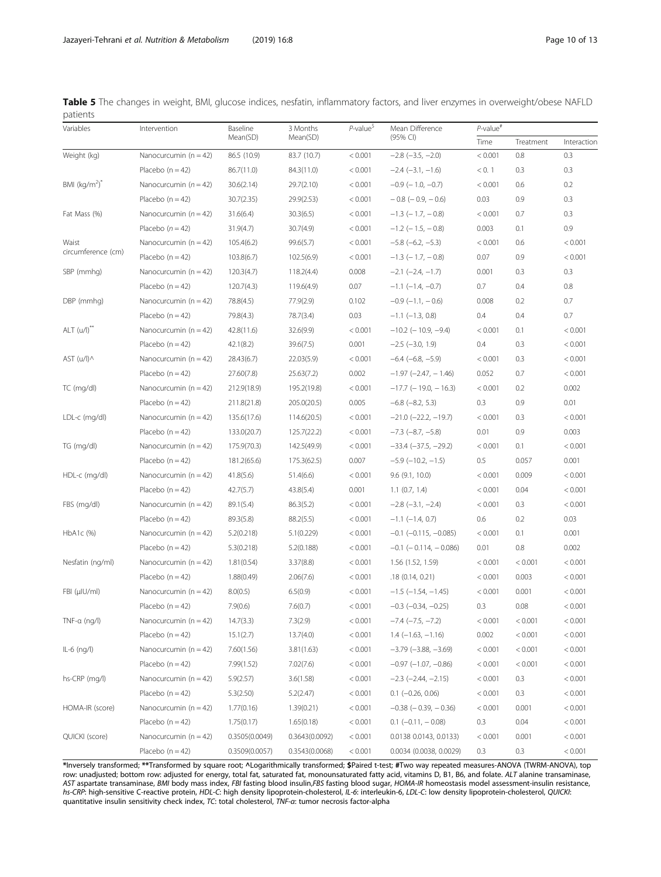<span id="page-9-0"></span>

|          |  |  |  | Table 5 The changes in weight, BMI, glucose indices, nesfatin, inflammatory factors, and liver enzymes in overweight/obese NAFLD |  |  |  |
|----------|--|--|--|----------------------------------------------------------------------------------------------------------------------------------|--|--|--|
| patients |  |  |  |                                                                                                                                  |  |  |  |

| Variables          | Intervention              | Baseline       | 3 Months       | $P$ -value <sup>5</sup> | Mean Difference                | $P$ -value <sup>#</sup> |           |             |  |
|--------------------|---------------------------|----------------|----------------|-------------------------|--------------------------------|-------------------------|-----------|-------------|--|
|                    |                           | Mean(SD)       | Mean(SD)       |                         | (95% CI)                       | Time                    | Treatment | Interaction |  |
| Weight (kg)        | Nanocurcumin $(n = 42)$   | 86.5 (10.9)    | 83.7 (10.7)    | < 0.001                 | $-2.8$ $(-3.5, -2.0)$          | < 0.001                 | 0.8       | 0.3         |  |
|                    | Placebo $(n = 42)$        | 86.7(11.0)     | 84.3(11.0)     | < 0.001                 | $-2.4$ ( $-3.1$ , $-1.6$ )     | < 0.1                   | 0.3       | 0.3         |  |
| BMI $(kq/m^2)^T$   | Nanocurcumin $(n = 42)$   | 30.6(2.14)     | 29.7(2.10)     | < 0.001                 | $-0.9$ ( $-1.0, -0.7$ )        | < 0.001                 | 0.6       | 0.2         |  |
|                    | Placebo $(n = 42)$        | 30.7(2.35)     | 29.9(2.53)     | < 0.001                 | $-0.8$ ( $-0.9$ , $-0.6$ )     | 0.03                    | 0.9       | 0.3         |  |
| Fat Mass (%)       | Nanocurcumin $(n = 42)$   | 31.6(6.4)      | 30.3(6.5)      | < 0.001                 | $-1.3$ ( $-1.7$ , $-0.8$ )     | < 0.001                 | 0.7       | 0.3         |  |
|                    | Placebo $(n = 42)$        | 31.9(4.7)      | 30.7(4.9)      | < 0.001                 | $-1.2$ ( $-1.5$ , $-0.8$ )     | 0.003                   | 0.1       | 0.9         |  |
| Waist              | Nanocurcumin ( $n = 42$ ) | 105.4(6.2)     | 99.6(5.7)      | < 0.001                 | $-5.8$ ( $-6.2, -5.3$ )        | < 0.001                 | 0.6       | < 0.001     |  |
| circumference (cm) | Placebo $(n = 42)$        | 103.8(6.7)     | 102.5(6.9)     | < 0.001                 | $-1.3$ ( $-1.7$ , $-0.8$ )     | 0.07                    | 0.9       | < 0.001     |  |
| SBP (mmhg)         | Nanocurcumin $(n = 42)$   | 120.3(4.7)     | 118.2(4.4)     | 0.008                   | $-2.1$ ( $-2.4$ , $-1.7$ )     | 0.001                   | 0.3       | 0.3         |  |
|                    | Placebo $(n = 42)$        | 120.7(4.3)     | 119.6(4.9)     | 0.07                    | $-1.1$ $(-1.4, -0.7)$          | 0.7                     | 0.4       | 0.8         |  |
| DBP (mmhg)         | Nanocurcumin $(n = 42)$   | 78.8(4.5)      | 77.9(2.9)      | 0.102                   | $-0.9$ ( $-1.1$ , $-0.6$ )     | 0.008                   | 0.2       | 0.7         |  |
|                    | Placebo $(n = 42)$        | 79.8(4.3)      | 78.7(3.4)      | 0.03                    | $-1.1$ ( $-1.3$ , 0.8)         | 0.4                     | 0.4       | 0.7         |  |
| $ALT (u/l)$ **     | Nanocurcumin $(n = 42)$   | 42.8(11.6)     | 32.6(9.9)      | < 0.001                 | $-10.2$ (-10.9, -9.4)          | < 0.001                 | 0.1       | < 0.001     |  |
|                    | Placebo $(n = 42)$        | 42.1(8.2)      | 39.6(7.5)      | 0.001                   | $-2.5$ ( $-3.0$ , 1.9)         | 0.4                     | 0.3       | < 0.001     |  |
| AST $(u/1)$        | Nanocurcumin $(n = 42)$   | 28.43(6.7)     | 22.03(5.9)     | < 0.001                 | $-6.4$ $(-6.8, -5.9)$          | < 0.001                 | 0.3       | < 0.001     |  |
|                    | Placebo $(n = 42)$        | 27.60(7.8)     | 25.63(7.2)     | 0.002                   | $-1.97$ ( $-2.47$ , $-1.46$ )  | 0.052                   | 0.7       | < 0.001     |  |
| TC (mg/dl)         | Nanocurcumin $(n = 42)$   | 212.9(18.9)    | 195.2(19.8)    | < 0.001                 | $-17.7$ (-19.0, -16.3)         | < 0.001                 | 0.2       | 0.002       |  |
|                    | Placebo $(n = 42)$        | 211.8(21.8)    | 205.0(20.5)    | 0.005                   | $-6.8$ $(-8.2, 5.3)$           | 0.3                     | 0.9       | 0.01        |  |
| LDL-c (mg/dl)      | Nanocurcumin $(n = 42)$   | 135.6(17.6)    | 114.6(20.5)    | < 0.001                 | $-21.0$ ( $-22.2$ , $-19.7$ )  | < 0.001                 | 0.3       | < 0.001     |  |
|                    | Placebo $(n = 42)$        | 133.0(20.7)    | 125.7(22.2)    | < 0.001                 | $-7.3$ $(-8.7, -5.8)$          | 0.01                    | 0.9       | 0.003       |  |
| TG (mg/dl)         | Nanocurcumin $(n = 42)$   | 175.9(70.3)    | 142.5(49.9)    | < 0.001                 | $-33.4$ ( $-37.5$ , $-29.2$ )  | < 0.001                 | 0.1       | < 0.001     |  |
|                    | Placebo $(n = 42)$        | 181.2(65.6)    | 175.3(62.5)    | 0.007                   | $-5.9$ ( $-10.2$ , $-1.5$ )    | 0.5                     | 0.057     | 0.001       |  |
| HDL-c (mg/dl)      | Nanocurcumin $(n = 42)$   | 41.8(5.6)      | 51.4(6.6)      | < 0.001                 | $9.6$ ( $9.1$ , $10.0$ )       | < 0.001                 | 0.009     | < 0.001     |  |
|                    | Placebo $(n = 42)$        | 42.7(5.7)      | 43.8(5.4)      | 0.001                   | $1.1$ (0.7, 1.4)               | < 0.001                 | 0.04      | < 0.001     |  |
| FBS (mg/dl)        | Nanocurcumin $(n = 42)$   | 89.1(5.4)      | 86.3(5.2)      | < 0.001                 | $-2.8$ $(-3.1, -2.4)$          | < 0.001                 | 0.3       | < 0.001     |  |
|                    | Placebo $(n = 42)$        | 89.3(5.8)      | 88.2(5.5)      | < 0.001                 | $-1.1$ ( $-1.4$ , 0.7)         | 0.6                     | 0.2       | 0.03        |  |
| HbA1c (%)          | Nanocurcumin $(n = 42)$   | 5.2(0.218)     | 5.1(0.229)     | < 0.001                 | $-0.1$ ( $-0.115$ , $-0.085$ ) | < 0.001                 | 0.1       | 0.001       |  |
|                    | Placebo $(n = 42)$        | 5.3(0.218)     | 5.2(0.188)     | < 0.001                 | $-0.1$ ( $-0.114$ , $-0.086$ ) | 0.01                    | 0.8       | 0.002       |  |
| Nesfatin (ng/ml)   | Nanocurcumin $(n = 42)$   | 1.81(0.54)     | 3.37(8.8)      | < 0.001                 | 1.56 (1.52, 1.59)              | < 0.001                 | < 0.001   | < 0.001     |  |
|                    | Placebo $(n = 42)$        | 1.88(0.49)     | 2.06(7.6)      | < 0.001                 | .18(0.14, 0.21)                | < 0.001                 | 0.003     | < 0.001     |  |
| FBI (µIU/ml)       | Nanocurcumin $(n = 42)$   | 8.0(0.5)       | 6.5(0.9)       | < 0.001                 | $-1.5$ ( $-1.54$ , $-1.45$ )   | < 0.001                 | 0.001     | < 0.001     |  |
|                    | Placebo $(n = 42)$        | 7.9(0.6)       | 7.6(0.7)       | < 0.001                 | $-0.3$ ( $-0.34$ , $-0.25$ )   | 0.3                     | 0.08      | < 0.001     |  |
| TNF-a (ng/l)       | Nanocurcumin $(n = 42)$   | 14.7(3.3)      | 7.3(2.9)       | < 0.001                 | $-7.4$ ( $-7.5$ , $-7.2$ )     | < 0.001                 | < 0.001   | < 0.001     |  |
|                    | Placebo $(n = 42)$        | 15.1(2.7)      | 13.7(4.0)      | < 0.001                 | $1.4$ (-1.63, -1.16)           | 0.002                   | < 0.001   | < 0.001     |  |
| $IL-6$ (ng/l)      | Nanocurcumin $(n = 42)$   | 7.60(1.56)     | 3.81(1.63)     | < 0.001                 | $-3.79$ $(-3.88, -3.69)$       | < 0.001                 | < 0.001   | < 0.001     |  |
|                    | Placebo $(n = 42)$        | 7.99(1.52)     | 7.02(7.6)      | < 0.001                 | $-0.97$ $(-1.07, -0.86)$       | < 0.001                 | < 0.001   | < 0.001     |  |
| hs-CRP (mg/l)      | Nanocurcumin $(n = 42)$   | 5.9(2.57)      | 3.6(1.58)      | < 0.001                 | $-2.3$ ( $-2.44$ , $-2.15$ )   | < 0.001                 | 0.3       | < 0.001     |  |
|                    | Placebo $(n = 42)$        | 5.3(2.50)      | 5.2(2.47)      | < 0.001                 | $0.1$ (-0.26, 0.06)            | < 0.001                 | 0.3       | < 0.001     |  |
| HOMA-IR (score)    | Nanocurcumin $(n = 42)$   | 1.77(0.16)     | 1.39(0.21)     | < 0.001                 | $-0.38$ ( $-0.39$ , $-0.36$ )  | < 0.001                 | 0.001     | < 0.001     |  |
|                    | Placebo $(n = 42)$        | 1.75(0.17)     | 1.65(0.18)     | < 0.001                 | $0.1$ (-0.11, -0.08)           | 0.3                     | 0.04      | < 0.001     |  |
| QUICKI (score)     | Nanocurcumin $(n = 42)$   | 0.3505(0.0049) | 0.3643(0.0092) | < 0.001                 | 0.0138 0.0143, 0.0133)         | < 0.001                 | 0.001     | < 0.001     |  |
|                    | Placebo $(n = 42)$        | 0.3509(0.0057) | 0.3543(0.0068) | < 0.001                 | 0.0034 (0.0038, 0.0029)        | 0.3                     | 0.3       | < 0.001     |  |

\*Inversely transformed; \*\*Transformed by square root; ^Logarithmically transformed; \$Paired t-test; #Two way repeated measures-ANOVA (TWRM-ANOVA), top row: unadjusted; bottom row: adjusted for energy, total fat, saturated fat, monounsaturated fatty acid, vitamins D, B1, B6, and folate. ALT alanine transaminase, AST aspartate transaminase, BMI body mass index, FBI fasting blood insulin,FBS fasting blood sugar, HOMA-IR homeostasis model assessment-insulin resistance, hs-CRP: high-sensitive C-reactive protein, HDL-C: high density lipoprotein-cholesterol, IL-6: interleukin-6, LDL-C: low density lipoprotein-cholesterol, QUICKI: quantitative insulin sensitivity check index, TC: total cholesterol, TNF-α: tumor necrosis factor-alpha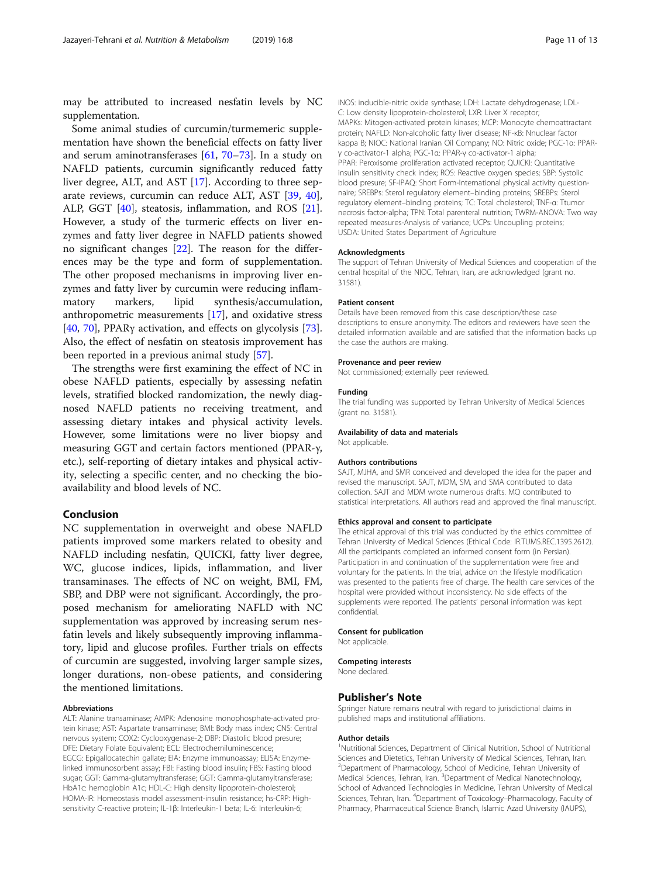may be attributed to increased nesfatin levels by NC supplementation.

Some animal studies of curcumin/turmemeric supplementation have shown the beneficial effects on fatty liver and serum aminotransferases [\[61](#page-12-0), [70](#page-12-0)–[73](#page-12-0)]. In a study on NAFLD patients, curcumin significantly reduced fatty liver degree, ALT, and AST [[17\]](#page-11-0). According to three separate reviews, curcumin can reduce ALT, AST [\[39](#page-12-0), [40](#page-12-0)], ALP, GGT [\[40](#page-12-0)], steatosis, inflammation, and ROS [\[21](#page-11-0)]. However, a study of the turmeric effects on liver enzymes and fatty liver degree in NAFLD patients showed no significant changes [[22\]](#page-11-0). The reason for the differences may be the type and form of supplementation. The other proposed mechanisms in improving liver enzymes and fatty liver by curcumin were reducing inflammatory markers, lipid synthesis/accumulation, anthropometric measurements [\[17](#page-11-0)], and oxidative stress [[40,](#page-12-0) [70\]](#page-12-0), PPARγ activation, and effects on glycolysis [\[73](#page-12-0)]. Also, the effect of nesfatin on steatosis improvement has been reported in a previous animal study [\[57\]](#page-12-0).

The strengths were first examining the effect of NC in obese NAFLD patients, especially by assessing nefatin levels, stratified blocked randomization, the newly diagnosed NAFLD patients no receiving treatment, and assessing dietary intakes and physical activity levels. However, some limitations were no liver biopsy and measuring GGT and certain factors mentioned (PPAR-γ, etc.), self-reporting of dietary intakes and physical activity, selecting a specific center, and no checking the bioavailability and blood levels of NC.

## Conclusion

NC supplementation in overweight and obese NAFLD patients improved some markers related to obesity and NAFLD including nesfatin, QUICKI, fatty liver degree, WC, glucose indices, lipids, inflammation, and liver transaminases. The effects of NC on weight, BMI, FM, SBP, and DBP were not significant. Accordingly, the proposed mechanism for ameliorating NAFLD with NC supplementation was approved by increasing serum nesfatin levels and likely subsequently improving inflammatory, lipid and glucose profiles. Further trials on effects of curcumin are suggested, involving larger sample sizes, longer durations, non-obese patients, and considering the mentioned limitations.

#### Abbreviations

ALT: Alanine transaminase; AMPK: Adenosine monophosphate-activated protein kinase; AST: Aspartate transaminase; BMI: Body mass index; CNS: Central nervous system; COX2: Cyclooxygenase-2; DBP: Diastolic blood presure; DFE: Dietary Folate Equivalent; ECL: Electrochemiluminescence; EGCG: Epigallocatechin gallate; EIA: Enzyme immunoassay; ELISA: Enzymelinked immunosorbent assay; FBI: Fasting blood insulin; FBS: Fasting blood sugar; GGT: Gamma-glutamyltransferase; GGT: Gamma-glutamyltransferase; HbA1c: hemoglobin A1c; HDL-C: High density lipoprotein-cholesterol; HOMA-IR: Homeostasis model assessment-insulin resistance; hs-CRP: Highsensitivity C-reactive protein; IL-1β: Interleukin-1 beta; IL-6: Interleukin-6;

iNOS: inducible-nitric oxide synthase; LDH: Lactate dehydrogenase; LDL-C: Low density lipoprotein-cholesterol; LXR: Liver X receptor; MAPKs: Mitogen-activated protein kinases; MCP: Monocyte chemoattractant protein; NAFLD: Non-alcoholic fatty liver disease; NF-κB: Nnuclear factor kappa B; NIOC: National Iranian Oil Company; NO: Nitric oxide; PGC-1α: PPARγ co-activator-1 alpha; PGC-1α: PPAR-γ co-activator-1 alpha; PPAR: Peroxisome proliferation activated receptor; QUICKI: Quantitative insulin sensitivity check index; ROS: Reactive oxygen species; SBP: Systolic blood presure; SF-IPAQ: Short Form-International physical activity questionnaire; SREBPs: Sterol regulatory element–binding proteins; SREBPs: Sterol regulatory element–binding proteins; TC: Total cholesterol; TNF-α: Ttumor necrosis factor-alpha; TPN: Total parenteral nutrition; TWRM-ANOVA: Two way repeated measures-Analysis of variance; UCPs: Uncoupling proteins; USDA: United States Department of Agriculture

#### Acknowledgments

The support of Tehran University of Medical Sciences and cooperation of the central hospital of the NIOC, Tehran, Iran, are acknowledged (grant no. 31581).

#### Patient consent

Details have been removed from this case description/these case descriptions to ensure anonymity. The editors and reviewers have seen the detailed information available and are satisfied that the information backs up the case the authors are making.

#### Provenance and peer review

Not commissioned; externally peer reviewed.

#### Funding

The trial funding was supported by Tehran University of Medical Sciences (grant no. 31581).

#### Availability of data and materials

Not applicable.

#### Authors contributions

SAJT, MJHA, and SMR conceived and developed the idea for the paper and revised the manuscript. SAJT, MDM, SM, and SMA contributed to data collection. SAJT and MDM wrote numerous drafts. MQ contributed to statistical interpretations. All authors read and approved the final manuscript.

#### Ethics approval and consent to participate

The ethical approval of this trial was conducted by the ethics committee of Tehran University of Medical Sciences (Ethical Code: IR.TUMS.REC.1395.2612). All the participants completed an informed consent form (in Persian). Participation in and continuation of the supplementation were free and voluntary for the patients. In the trial, advice on the lifestyle modification was presented to the patients free of charge. The health care services of the hospital were provided without inconsistency. No side effects of the supplements were reported. The patients' personal information was kept confidential.

#### Consent for publication

Not applicable.

#### Competing interests

None declared.

#### Publisher's Note

Springer Nature remains neutral with regard to jurisdictional claims in published maps and institutional affiliations.

#### Author details

<sup>1</sup>Nutritional Sciences, Department of Clinical Nutrition, School of Nutritional Sciences and Dietetics, Tehran University of Medical Sciences, Tehran, Iran. <sup>2</sup>Department of Pharmacology, School of Medicine, Tehran University of Medical Sciences, Tehran, Iran. <sup>3</sup>Department of Medical Nanotechnology, School of Advanced Technologies in Medicine, Tehran University of Medical Sciences, Tehran, Iran. <sup>4</sup>Department of Toxicology-Pharmacology, Faculty of Pharmacy, Pharmaceutical Science Branch, Islamic Azad University (IAUPS),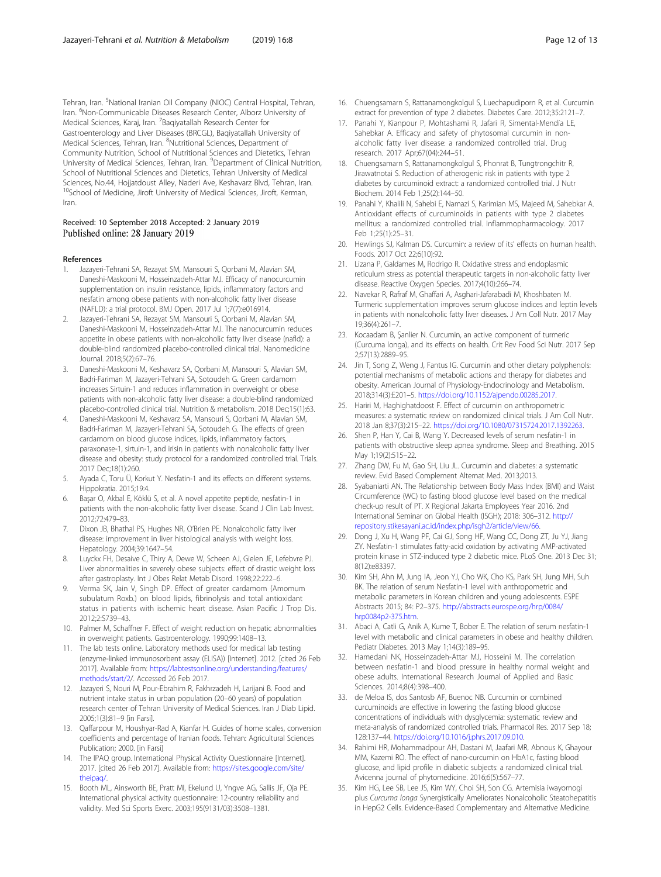<span id="page-11-0"></span>Tehran, Iran. <sup>5</sup>National Iranian Oil Company (NIOC) Central Hospital, Tehran, Iran. <sup>6</sup>Non-Communicable Diseases Research Center, Alborz University of Medical Sciences, Karaj, Iran. <sup>7</sup>Baqiyatallah Research Center for Gastroenterology and Liver Diseases (BRCGL), Baqiyatallah University of Medical Sciences, Tehran, Iran. <sup>8</sup>Nutritional Sciences, Department of Community Nutrition, School of Nutritional Sciences and Dietetics, Tehran University of Medical Sciences, Tehran, Iran. <sup>9</sup>Department of Clinical Nutrition, School of Nutritional Sciences and Dietetics, Tehran University of Medical Sciences, No.44, Hojjatdoust Alley, Naderi Ave, Keshavarz Blvd, Tehran, Iran. <sup>10</sup>School of Medicine, Jiroft University of Medical Sciences, Jiroft, Kerman, Iran.

## Received: 10 September 2018 Accepted: 2 January 2019 Published online: 28 January 2019

#### References

- 1. Jazayeri-Tehrani SA, Rezayat SM, Mansouri S, Qorbani M, Alavian SM, Daneshi-Maskooni M, Hosseinzadeh-Attar MJ. Efficacy of nanocurcumin supplementation on insulin resistance, lipids, inflammatory factors and nesfatin among obese patients with non-alcoholic fatty liver disease (NAFLD): a trial protocol. BMJ Open. 2017 Jul 1;7(7):e016914.
- 2. Jazayeri-Tehrani SA, Rezayat SM, Mansouri S, Qorbani M, Alavian SM, Daneshi-Maskooni M, Hosseinzadeh-Attar MJ. The nanocurcumin reduces appetite in obese patients with non-alcoholic fatty liver disease (nafld): a double-blind randomized placebo-controlled clinical trial. Nanomedicine Journal. 2018;5(2):67–76.
- 3. Daneshi-Maskooni M, Keshavarz SA, Qorbani M, Mansouri S, Alavian SM, Badri-Fariman M, Jazayeri-Tehrani SA, Sotoudeh G. Green cardamom increases Sirtuin-1 and reduces inflammation in overweight or obese patients with non-alcoholic fatty liver disease: a double-blind randomized placebo-controlled clinical trial. Nutrition & metabolism. 2018 Dec;15(1):63.
- 4. Daneshi-Maskooni M, Keshavarz SA, Mansouri S, Qorbani M, Alavian SM, Badri-Fariman M, Jazayeri-Tehrani SA, Sotoudeh G. The effects of green cardamom on blood glucose indices, lipids, inflammatory factors, paraxonase-1, sirtuin-1, and irisin in patients with nonalcoholic fatty liver disease and obesity: study protocol for a randomized controlled trial. Trials. 2017 Dec;18(1):260.
- Ayada C, Toru Ü, Korkut Y. Nesfatin-1 and its effects on different systems. Hippokratia. 2015;19:4.
- 6. Başar O, Akbal E, Köklü S, et al. A novel appetite peptide, nesfatin-1 in patients with the non-alcoholic fatty liver disease. Scand J Clin Lab Invest. 2012;72:479–83.
- 7. Dixon JB, Bhathal PS, Hughes NR, O'Brien PE. Nonalcoholic fatty liver disease: improvement in liver histological analysis with weight loss. Hepatology. 2004;39:1647–54.
- 8. Luyckx FH, Desaive C, Thiry A, Dewe W, Scheen AJ, Gielen JE, Lefebvre PJ. Liver abnormalities in severely obese subjects: effect of drastic weight loss after gastroplasty. Int J Obes Relat Metab Disord. 1998;22:222–6.
- 9. Verma SK, Jain V, Singh DP. Effect of greater cardamom (Amomum subulatum Roxb.) on blood lipids, fibrinolysis and total antioxidant status in patients with ischemic heart disease. Asian Pacific J Trop Dis. 2012;2:S739–43.
- 10. Palmer M, Schaffner F. Effect of weight reduction on hepatic abnormalities in overweight patients. Gastroenterology. 1990;99:1408–13.
- 11. The lab tests online. Laboratory methods used for medical lab testing (enzyme-linked immunosorbent assay (ELISA)) [Internet]. 2012. [cited 26 Feb 2017]. Available from: [https://labtestsonline.org/understanding/features/](https://labtestsonline.org/understanding/features/methods/start/2) [methods/start/2/](https://labtestsonline.org/understanding/features/methods/start/2). Accessed 26 Feb 2017.
- 12. Jazayeri S, Nouri M, Pour-Ebrahim R, Fakhrzadeh H, Larijani B. Food and nutrient intake status in urban population (20–60 years) of population research center of Tehran University of Medical Sciences. Iran J Diab Lipid. 2005;1(3):81–9 [in Farsi].
- 13. Qaffarpour M, Houshyar-Rad A, Kianfar H. Guides of home scales, conversion coefficients and percentage of Iranian foods. Tehran: Agricultural Sciences Publication; 2000. [in Farsi]
- 14. The IPAQ group. International Physical Activity Questionnaire [Internet]. 2017. [cited 26 Feb 2017]. Available from: [https://sites.google.com/site/](https://sites.google.com/site/theipaq/) [theipaq/.](https://sites.google.com/site/theipaq/)
- 15. Booth ML, Ainsworth BE, Pratt MI, Ekelund U, Yngve AG, Sallis JF, Oja PE. International physical activity questionnaire: 12-country reliability and validity. Med Sci Sports Exerc. 2003;195(9131/03):3508–1381.
- 16. Chuengsamarn S, Rattanamongkolgul S, Luechapudiporn R, et al. Curcumin extract for prevention of type 2 diabetes. Diabetes Care. 2012;35:2121–7.
- 17. Panahi Y, Kianpour P, Mohtashami R, Jafari R, Simental-Mendía LE, Sahebkar A. Efficacy and safety of phytosomal curcumin in nonalcoholic fatty liver disease: a randomized controlled trial. Drug research. 2017 Apr;67(04):244–51.
- 18. Chuengsamarn S, Rattanamongkolgul S, Phonrat B, Tungtrongchitr R, Jirawatnotai S. Reduction of atherogenic risk in patients with type 2 diabetes by curcuminoid extract: a randomized controlled trial. J Nutr Biochem. 2014 Feb 1;25(2):144–50.
- 19. Panahi Y, Khalili N, Sahebi E, Namazi S, Karimian MS, Majeed M, Sahebkar A. Antioxidant effects of curcuminoids in patients with type 2 diabetes mellitus: a randomized controlled trial. Inflammopharmacology. 2017 Feb 1;25(1):25–31.
- 20. Hewlings SJ, Kalman DS. Curcumin: a review of its' effects on human health. Foods. 2017 Oct 22;6(10):92.
- 21. Lizana P, Galdames M, Rodrigo R. Oxidative stress and endoplasmic reticulum stress as potential therapeutic targets in non-alcoholic fatty liver disease. Reactive Oxygen Species. 2017;4(10):266–74.
- 22. Navekar R, Rafraf M, Ghaffari A, Asghari-Jafarabadi M, Khoshbaten M. Turmeric supplementation improves serum glucose indices and leptin levels in patients with nonalcoholic fatty liver diseases. J Am Coll Nutr. 2017 May 19;36(4):261–7.
- 23. Kocaadam B, Şanlier N. Curcumin, an active component of turmeric (Curcuma longa), and its effects on health. Crit Rev Food Sci Nutr. 2017 Sep 2;57(13):2889–95.
- 24. Jin T, Song Z, Weng J, Fantus IG. Curcumin and other dietary polyphenols: potential mechanisms of metabolic actions and therapy for diabetes and obesity. American Journal of Physiology-Endocrinology and Metabolism. 2018;314(3):E201–5. [https://doi.org/10.1152/ajpendo.00285.2017.](https://doi.org/10.1152/ajpendo.00285.2017)
- 25. Hariri M, Haghighatdoost F. Effect of curcumin on anthropometric measures: a systematic review on randomized clinical trials. J Am Coll Nutr. 2018 Jan 8;37(3):215–22. <https://doi.org/10.1080/07315724.2017.1392263>.
- 26. Shen P, Han Y, Cai B, Wang Y. Decreased levels of serum nesfatin-1 in patients with obstructive sleep apnea syndrome. Sleep and Breathing. 2015 May 1;19(2):515–22.
- 27. Zhang DW, Fu M, Gao SH, Liu JL. Curcumin and diabetes: a systematic review. Evid Based Complement Alternat Med. 2013;2013.
- 28. Syabaniarti AN. The Relationship between Body Mass Index (BMI) and Waist Circumference (WC) to fasting blood glucose level based on the medical check-up result of PT. X Regional Jakarta Employees Year 2016. 2nd International Seminar on Global Health (ISGH); 2018: 306–312. [http://](http://repository.stikesayani.ac.id/index.php/isgh2/article/view/66) [repository.stikesayani.ac.id/index.php/isgh2/article/view/66.](http://repository.stikesayani.ac.id/index.php/isgh2/article/view/66)
- 29. Dong J, Xu H, Wang PF, Cai GJ, Song HF, Wang CC, Dong ZT, Ju YJ, Jiang ZY. Nesfatin-1 stimulates fatty-acid oxidation by activating AMP-activated protein kinase in STZ-induced type 2 diabetic mice. PLoS One. 2013 Dec 31; 8(12):e83397.
- 30. Kim SH, Ahn M, Jung IA, Jeon YJ, Cho WK, Cho KS, Park SH, Jung MH, Suh BK. The relation of serum Nesfatin-1 level with anthropometric and metabolic parameters in Korean children and young adolescents. ESPE Abstracts 2015; 84: P2–375. [http://abstracts.eurospe.org/hrp/0084/](http://abstracts.eurospe.org/hrp/0084/hrp0084p2-375.htm) [hrp0084p2-375.htm.](http://abstracts.eurospe.org/hrp/0084/hrp0084p2-375.htm)
- 31. Abaci A, Catli G, Anik A, Kume T, Bober E. The relation of serum nesfatin-1 level with metabolic and clinical parameters in obese and healthy children. Pediatr Diabetes. 2013 May 1;14(3):189–95.
- 32. Hamedani NK, Hosseinzadeh-Attar MJ, Hosseini M. The correlation between nesfatin-1 and blood pressure in healthy normal weight and obese adults. International Research Journal of Applied and Basic Sciences. 2014;8(4):398–400.
- 33. de Meloa IS, dos Santosb AF, Buenoc NB. Curcumin or combined curcuminoids are effective in lowering the fasting blood glucose concentrations of individuals with dysglycemia: systematic review and meta-analysis of randomized controlled trials. Pharmacol Res. 2017 Sep 18; 128:137–44. [https://doi.org/10.1016/j.phrs.2017.09.010.](https://doi.org/10.1016/j.phrs.2017.09.010)
- 34. Rahimi HR, Mohammadpour AH, Dastani M, Jaafari MR, Abnous K, Ghayour MM, Kazemi RO. The effect of nano-curcumin on HbA1c, fasting blood glucose, and lipid profile in diabetic subjects: a randomized clinical trial. Avicenna journal of phytomedicine. 2016;6(5):567–77.
- 35. Kim HG, Lee SB, Lee JS, Kim WY, Choi SH, Son CG. Artemisia iwayomogi plus Curcuma longa Synergistically Ameliorates Nonalcoholic Steatohepatitis in HepG2 Cells. Evidence-Based Complementary and Alternative Medicine.